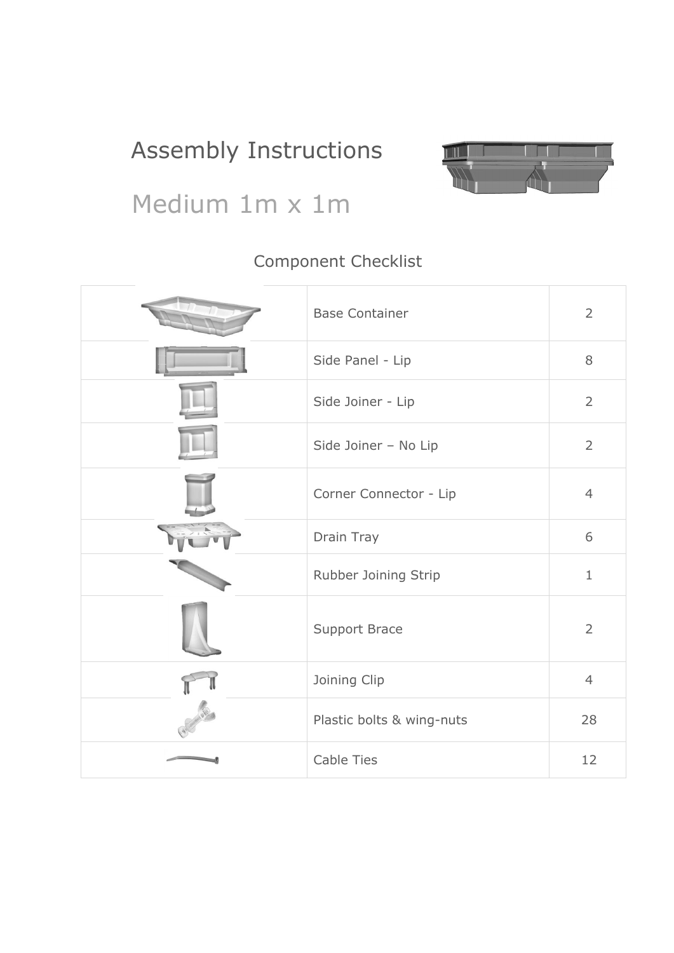# Assembly Instructions



# Medium 1m x 1m

### Component Checklist

| <b>Base Container</b>     | $\overline{2}$ |
|---------------------------|----------------|
| Side Panel - Lip          | 8              |
| Side Joiner - Lip         | $\overline{2}$ |
| Side Joiner - No Lip      | $\overline{2}$ |
| Corner Connector - Lip    | $\overline{4}$ |
| Drain Tray                | 6              |
| Rubber Joining Strip      | $1\,$          |
| <b>Support Brace</b>      | $\overline{2}$ |
| Joining Clip              | $\overline{4}$ |
| Plastic bolts & wing-nuts | 28             |
| <b>Cable Ties</b>         | 12             |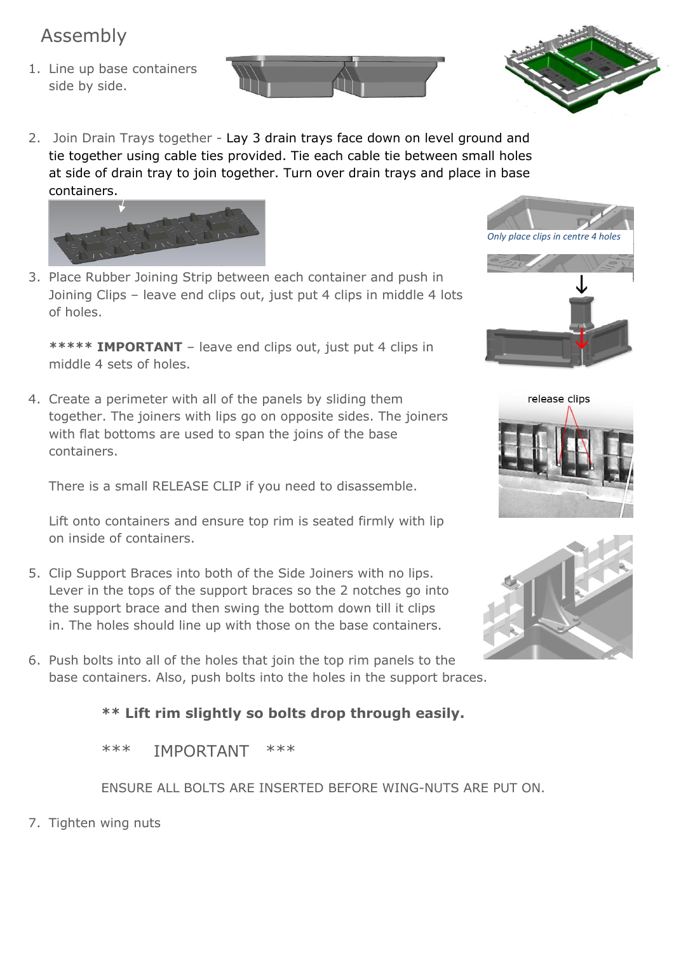## Assembly

1. Line up base containers side by side.



2. Join Drain Trays together - Lay 3 drain trays face down on level ground and tie together using cable ties provided. Tie each cable tie between small holes at side of drain tray to join together. Turn over drain trays and place in base containers.



3. Place Rubber Joining Strip between each container and push in Joining Clips – leave end clips out, just put 4 clips in middle 4 lots of holes.

**\*\*\*\*\* IMPORTANT** – leave end clips out, just put 4 clips in middle 4 sets of holes.

4. Create a perimeter with all of the panels by sliding them together. The joiners with lips go on opposite sides. The joiners with flat bottoms are used to span the joins of the base containers.

There is a small RELEASE CLIP if you need to disassemble.

Lift onto containers and ensure top rim is seated firmly with lip on inside of containers.

- 5. Clip Support Braces into both of the Side Joiners with no lips. Lever in the tops of the support braces so the 2 notches go into the support brace and then swing the bottom down till it clips in. The holes should line up with those on the base containers.
- 6. Push bolts into all of the holes that join the top rim panels to the base containers. Also, push bolts into the holes in the support braces.

### **\*\* Lift rim slightly so bolts drop through easily.**

\*\*\* IMPORTANT \*\*\*

ENSURE ALL BOLTS ARE INSERTED BEFORE WING-NUTS ARE PUT ON.

7. Tighten wing nuts







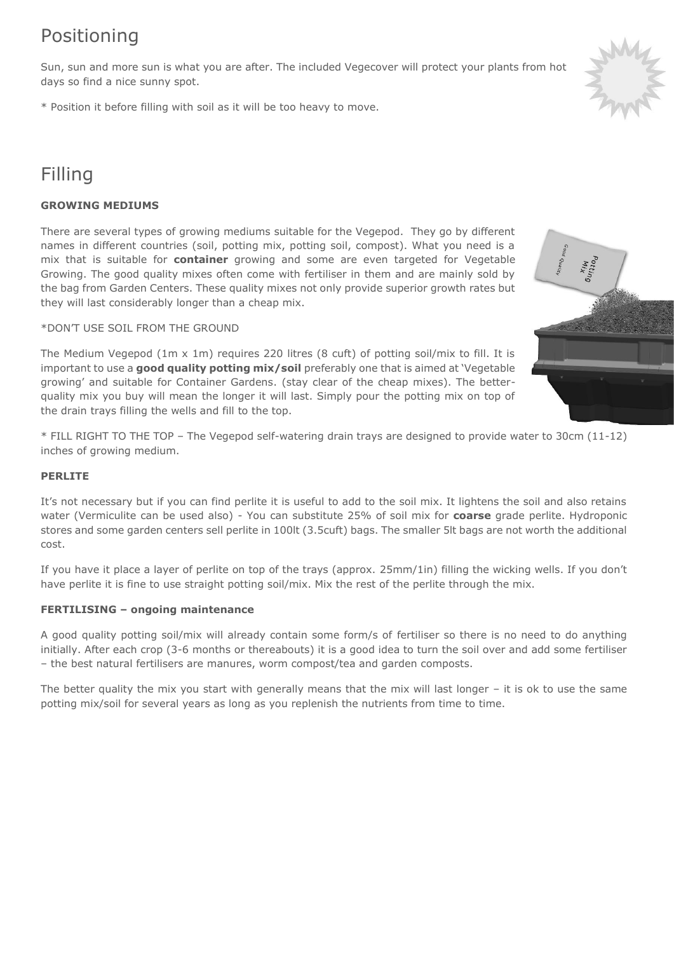## Positioning

Sun, sun and more sun is what you are after. The included Vegecover will protect your plants from hot days so find a nice sunny spot.

\* Position it before filling with soil as it will be too heavy to move.

## Filling

#### **GROWING MEDIUMS**

There are several types of growing mediums suitable for the Vegepod. They go by different names in different countries (soil, potting mix, potting soil, compost). What you need is a mix that is suitable for **container** growing and some are even targeted for Vegetable Growing. The good quality mixes often come with fertiliser in them and are mainly sold by the bag from Garden Centers. These quality mixes not only provide superior growth rates but they will last considerably longer than a cheap mix.

#### \*DON'T USE SOIL FROM THE GROUND

The Medium Vegepod (1m  $\times$  1m) requires 220 litres (8 cuft) of potting soil/mix to fill. It is important to use a **good quality potting mix/soil** preferably one that is aimed at 'Vegetable growing' and suitable for Container Gardens. (stay clear of the cheap mixes). The betterquality mix you buy will mean the longer it will last. Simply pour the potting mix on top of the drain trays filling the wells and fill to the top.

\* FILL RIGHT TO THE TOP – The Vegepod self-watering drain trays are designed to provide water to 30cm (11-12) inches of growing medium.

#### **PERLITE**

It's not necessary but if you can find perlite it is useful to add to the soil mix. It lightens the soil and also retains water (Vermiculite can be used also) - You can substitute 25% of soil mix for **coarse** grade perlite. Hydroponic stores and some garden centers sell perlite in 100lt (3.5cuft) bags. The smaller 5lt bags are not worth the additional cost.

If you have it place a layer of perlite on top of the trays (approx. 25mm/1in) filling the wicking wells. If you don't have perlite it is fine to use straight potting soil/mix. Mix the rest of the perlite through the mix.

#### **FERTILISING – ongoing maintenance**

A good quality potting soil/mix will already contain some form/s of fertiliser so there is no need to do anything initially. After each crop (3-6 months or thereabouts) it is a good idea to turn the soil over and add some fertiliser – the best natural fertilisers are manures, worm compost/tea and garden composts.

The better quality the mix you start with generally means that the mix will last longer – it is ok to use the same potting mix/soil for several years as long as you replenish the nutrients from time to time.